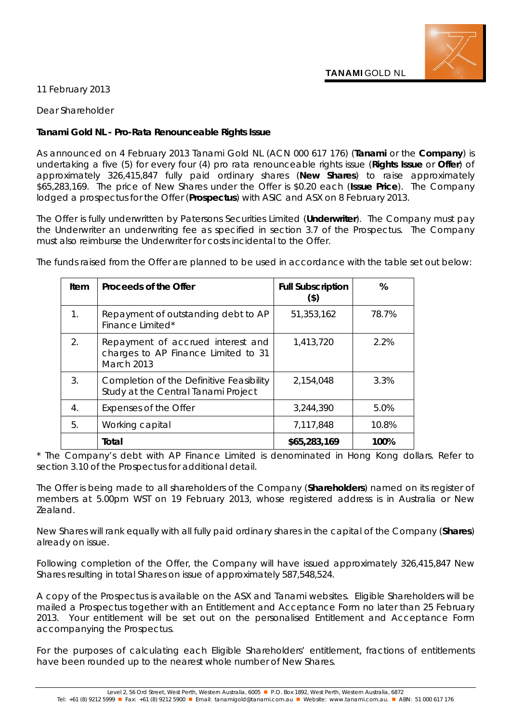

11 February 2013

Dear Shareholder

## **Tanami Gold NL - Pro-Rata Renounceable Rights Issue**

As announced on 4 February 2013 Tanami Gold NL (ACN 000 617 176) (**Tanami** or the **Company**) is undertaking a five (5) for every four (4) pro rata renounceable rights issue (**Rights Issue** or **Offer**) of approximately 326,415,847 fully paid ordinary shares (**New Shares**) to raise approximately \$65,283,169. The price of New Shares under the Offer is \$0.20 each (**Issue Price**). The Company lodged a prospectus for the Offer (**Prospectus**) with ASIC and ASX on 8 February 2013.

The Offer is fully underwritten by Patersons Securities Limited (**Underwriter**). The Company must pay the Underwriter an underwriting fee as specified in section 3.7 of the Prospectus. The Company must also reimburse the Underwriter for costs incidental to the Offer.

The funds raised from the Offer are planned to be used in accordance with the table set out below:

| Item                  | Proceeds of the Offer                                                                         | <b>Full Subscription</b><br>$($ \$) | %     |
|-----------------------|-----------------------------------------------------------------------------------------------|-------------------------------------|-------|
| 1.                    | Repayment of outstanding debt to AP<br>Finance Limited*                                       | 51,353,162                          | 78.7% |
| $\mathcal{D}_{\cdot}$ | Repayment of accrued interest and<br>charges to AP Finance Limited to 31<br><b>March 2013</b> | 1,413,720                           | 2.2%  |
| 3.                    | Completion of the Definitive Feasibility<br>Study at the Central Tanami Project               | 2,154,048                           | 3.3%  |
| 4.                    | Expenses of the Offer                                                                         | 3,244,390                           | 5.0%  |
| 5.                    | Working capital                                                                               | 7,117,848                           | 10.8% |
|                       | Total                                                                                         | \$65,283,169                        | 100%  |

*\* The Company's debt with AP Finance Limited is denominated in Hong Kong dollars. Refer to section 3.10 of the Prospectus for additional detail.*

The Offer is being made to all shareholders of the Company (**Shareholders**) named on its register of members at 5.00pm WST on 19 February 2013, whose registered address is in Australia or New Zealand.

New Shares will rank equally with all fully paid ordinary shares in the capital of the Company (**Shares**) already on issue.

Following completion of the Offer, the Company will have issued approximately 326,415,847 New Shares resulting in total Shares on issue of approximately 587,548,524.

A copy of the Prospectus is available on the ASX and Tanami websites. Eligible Shareholders will be mailed a Prospectus together with an Entitlement and Acceptance Form no later than 25 February 2013. Your entitlement will be set out on the personalised Entitlement and Acceptance Form accompanying the Prospectus.

For the purposes of calculating each Eligible Shareholders' entitlement, fractions of entitlements have been rounded up to the nearest whole number of New Shares.